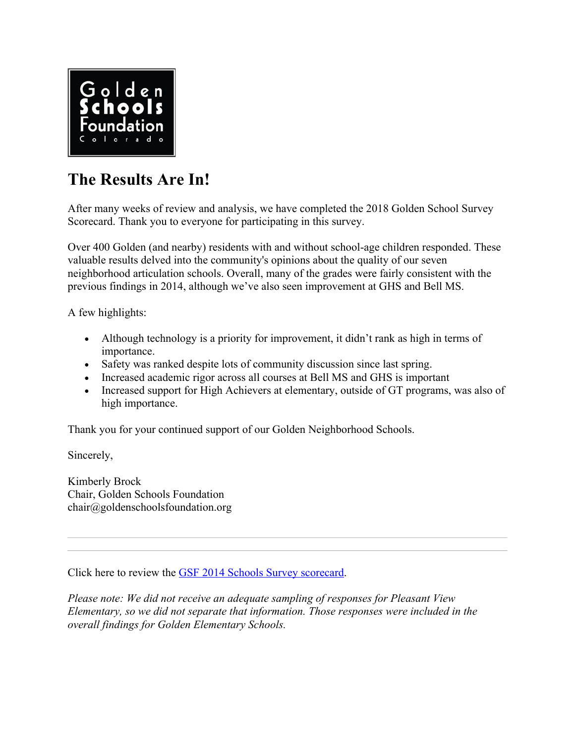

# **The Results Are In!**

After many weeks of review and analysis, we have completed the 2018 Golden School Survey Scorecard. Thank you to everyone for participating in this survey.

Over 400 Golden (and nearby) residents with and without school-age children responded. These valuable results delved into the community's opinions about the quality of our seven neighborhood articulation schools. Overall, many of the grades were fairly consistent with the previous findings in 2014, although we've also seen improvement at GHS and Bell MS.

A few highlights:

- Although technology is a priority for improvement, it didn't rank as high in terms of importance.
- Safety was ranked despite lots of community discussion since last spring.
- Increased academic rigor across all courses at Bell MS and GHS is important
- Increased support for High Achievers at elementary, outside of GT programs, was also of high importance.

Thank you for your continued support of our Golden Neighborhood Schools.

Sincerely,

Kimberly Brock Chair, Golden Schools Foundation chair@goldenschoolsfoundation.org

Click here to review the GSF 2014 Schools Survey scorecard.

*Please note: We did not receive an adequate sampling of responses for Pleasant View Elementary, so we did not separate that information. Those responses were included in the overall findings for Golden Elementary Schools.*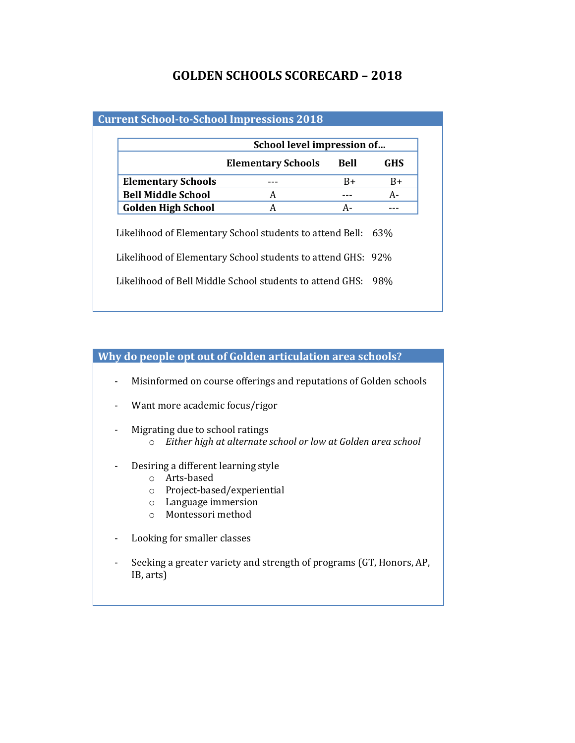## **GOLDEN SCHOOLS SCORECARD – 2018**

### **Current School-to-School Impressions 2018**

| <b>Bell</b><br><b>Elementary Schools</b><br>$B+$<br>A<br>A-<br>A<br>Likelihood of Elementary School students to attend Bell: 63%<br>Likelihood of Elementary School students to attend GHS: 92%<br>Likelihood of Bell Middle School students to attend GHS:<br>98% |                           | School level impression of |  |      |
|--------------------------------------------------------------------------------------------------------------------------------------------------------------------------------------------------------------------------------------------------------------------|---------------------------|----------------------------|--|------|
|                                                                                                                                                                                                                                                                    |                           |                            |  | GHS  |
|                                                                                                                                                                                                                                                                    | <b>Elementary Schools</b> |                            |  | $B+$ |
|                                                                                                                                                                                                                                                                    | <b>Bell Middle School</b> |                            |  | A-   |
|                                                                                                                                                                                                                                                                    | <b>Golden High School</b> |                            |  |      |
|                                                                                                                                                                                                                                                                    |                           |                            |  |      |
|                                                                                                                                                                                                                                                                    |                           |                            |  |      |

#### **Why do people opt out of Golden articulation area schools?**

- Misinformed on course offerings and reputations of Golden schools
- Want more academic focus/rigor
- Migrating due to school ratings
	- o *Either high at alternate school or low at Golden area school*
- Desiring a different learning style
	- o Arts-based
	- o Project-based/experiential
	- o Language immersion
	- o Montessori method
- Looking for smaller classes
- Seeking a greater variety and strength of programs (GT, Honors, AP, IB, arts)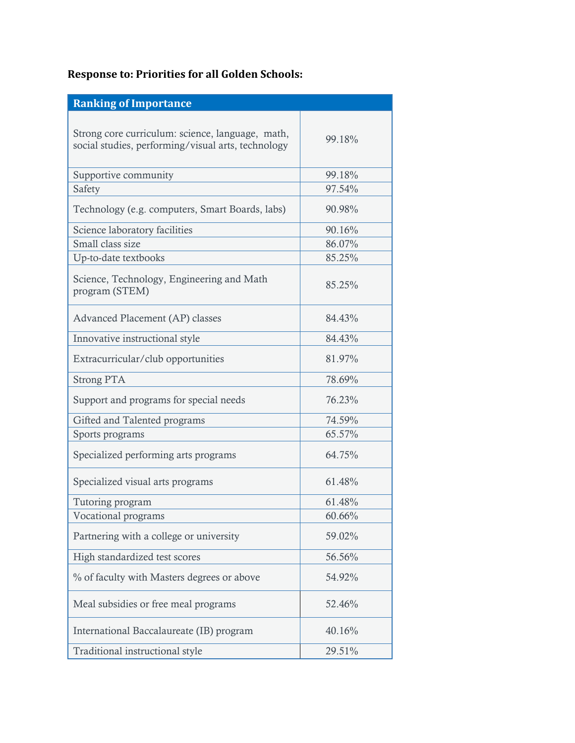## **Response to: Priorities for all Golden Schools:**

| <b>Ranking of Importance</b>                                                                           |        |
|--------------------------------------------------------------------------------------------------------|--------|
| Strong core curriculum: science, language, math,<br>social studies, performing/visual arts, technology | 99.18% |
| Supportive community                                                                                   | 99.18% |
| Safety                                                                                                 | 97.54% |
| Technology (e.g. computers, Smart Boards, labs)                                                        | 90.98% |
| Science laboratory facilities                                                                          | 90.16% |
| Small class size                                                                                       | 86.07% |
| Up-to-date textbooks                                                                                   | 85.25% |
| Science, Technology, Engineering and Math<br>program (STEM)                                            | 85.25% |
| Advanced Placement (AP) classes                                                                        | 84.43% |
| Innovative instructional style                                                                         | 84.43% |
| Extracurricular/club opportunities                                                                     | 81.97% |
| <b>Strong PTA</b>                                                                                      | 78.69% |
| Support and programs for special needs                                                                 | 76.23% |
| Gifted and Talented programs                                                                           | 74.59% |
| Sports programs                                                                                        | 65.57% |
| Specialized performing arts programs                                                                   | 64.75% |
| Specialized visual arts programs                                                                       | 61.48% |
| Tutoring program                                                                                       | 61.48% |
| Vocational programs                                                                                    | 60.66% |
| Partnering with a college or university                                                                | 59.02% |
| High standardized test scores                                                                          | 56.56% |
| % of faculty with Masters degrees or above                                                             | 54.92% |
| Meal subsidies or free meal programs                                                                   | 52.46% |
| International Baccalaureate (IB) program                                                               | 40.16% |
| Traditional instructional style                                                                        | 29.51% |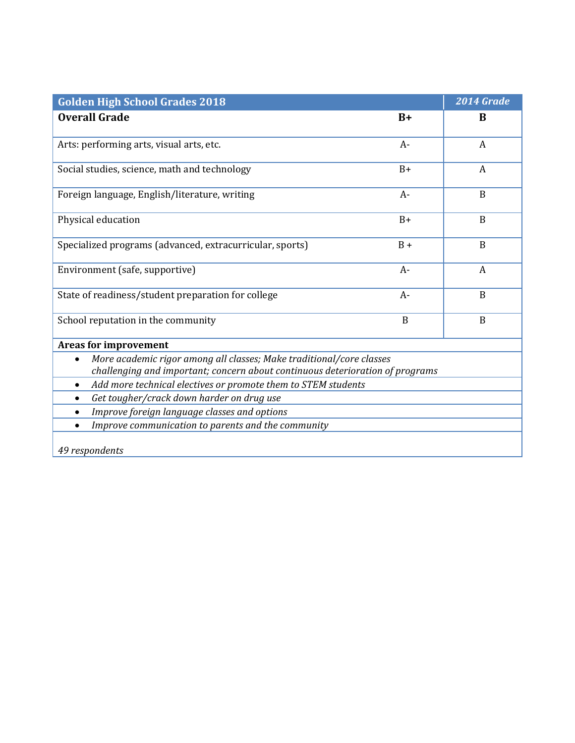| <b>Golden High School Grades 2018</b>                                                                                                                 |       | 2014 Grade   |
|-------------------------------------------------------------------------------------------------------------------------------------------------------|-------|--------------|
| <b>Overall Grade</b>                                                                                                                                  | $B+$  | B            |
|                                                                                                                                                       |       |              |
| Arts: performing arts, visual arts, etc.                                                                                                              | $A-$  | A            |
| Social studies, science, math and technology                                                                                                          | $B+$  | A            |
| Foreign language, English/literature, writing                                                                                                         | $A-$  | B            |
| Physical education                                                                                                                                    | $B+$  | $\mathbf B$  |
| Specialized programs (advanced, extracurricular, sports)                                                                                              | $B +$ | B            |
| Environment (safe, supportive)                                                                                                                        | $A-$  | A            |
| State of readiness/student preparation for college                                                                                                    | $A-$  | B            |
| School reputation in the community                                                                                                                    | B     | $\mathbf{B}$ |
| <b>Areas for improvement</b>                                                                                                                          |       |              |
| More academic rigor among all classes; Make traditional/core classes<br>challenging and important; concern about continuous deterioration of programs |       |              |
| Add more technical electives or promote them to STEM students<br>$\bullet$                                                                            |       |              |
| Get tougher/crack down harder on drug use                                                                                                             |       |              |
| Improve foreign language classes and options                                                                                                          |       |              |
| Improve communication to parents and the community<br>$\bullet$                                                                                       |       |              |
| 49 respondents                                                                                                                                        |       |              |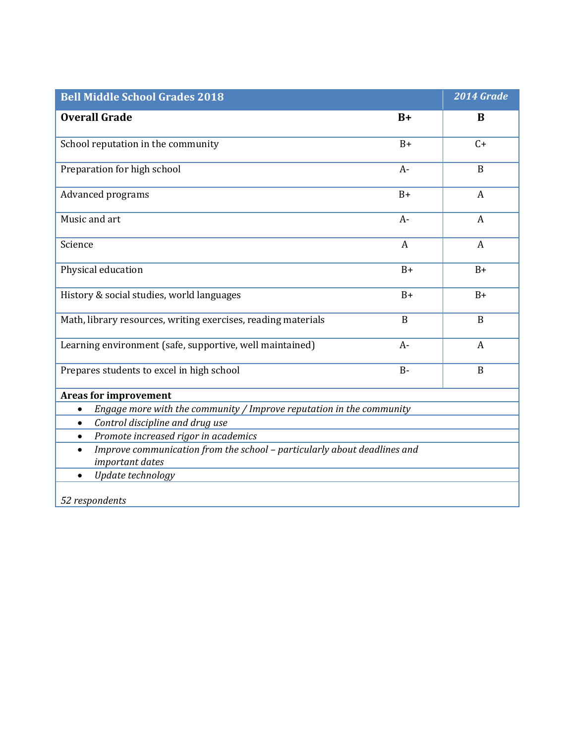| <b>Bell Middle School Grades 2018</b>                                             |                  | 2014 Grade       |
|-----------------------------------------------------------------------------------|------------------|------------------|
| <b>Overall Grade</b>                                                              | $B+$             | B                |
| School reputation in the community                                                | $B+$             | $C+$             |
| Preparation for high school                                                       | $A-$             | $\mathbf B$      |
| Advanced programs                                                                 | $B+$             | $\boldsymbol{A}$ |
| Music and art                                                                     | $A-$             | A                |
| Science                                                                           | $\boldsymbol{A}$ | $\boldsymbol{A}$ |
| Physical education                                                                | $B+$             | $B+$             |
| History & social studies, world languages                                         | $B+$             | $B+$             |
| Math, library resources, writing exercises, reading materials                     | $\mathbf{B}$     | B                |
| Learning environment (safe, supportive, well maintained)                          | $A-$             | $\boldsymbol{A}$ |
| Prepares students to excel in high school                                         | $B -$            | B                |
| <b>Areas for improvement</b>                                                      |                  |                  |
| Engage more with the community / Improve reputation in the community<br>$\bullet$ |                  |                  |
| Control discipline and drug use<br>$\bullet$                                      |                  |                  |
| Promote increased rigor in academics<br>$\bullet$                                 |                  |                  |
| Improve communication from the school - particularly about deadlines and          |                  |                  |
| important dates                                                                   |                  |                  |
| Update technology<br>$\bullet$                                                    |                  |                  |
| 52 respondents                                                                    |                  |                  |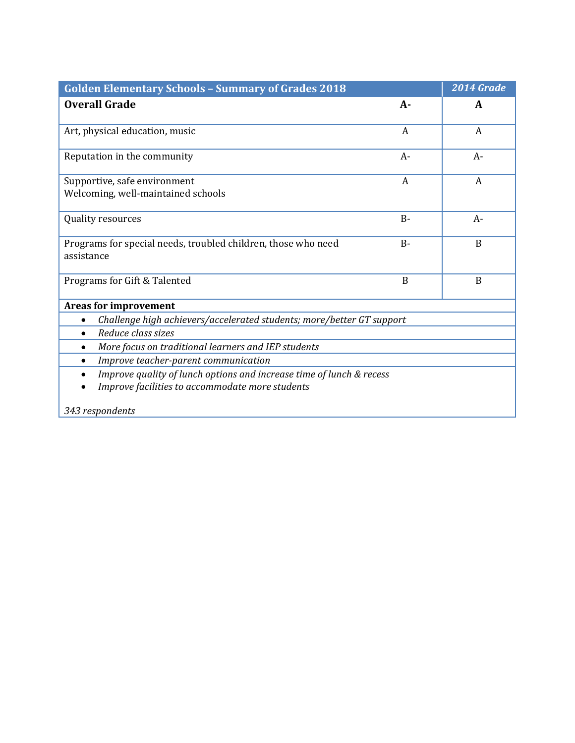| <b>Golden Elementary Schools - Summary of Grades 2018</b>                                                                            |       | 2014 Grade |
|--------------------------------------------------------------------------------------------------------------------------------------|-------|------------|
| <b>Overall Grade</b>                                                                                                                 | $A -$ | A          |
| Art, physical education, music                                                                                                       | A     | A          |
| Reputation in the community                                                                                                          | $A-$  | $A-$       |
| Supportive, safe environment<br>Welcoming, well-maintained schools                                                                   | A     | A          |
| Quality resources                                                                                                                    | $B -$ | $A-$       |
| Programs for special needs, troubled children, those who need<br>assistance                                                          | $B -$ | B          |
| Programs for Gift & Talented                                                                                                         | B     | B          |
| Areas for improvement                                                                                                                |       |            |
| Challenge high achievers/accelerated students; more/better GT support                                                                |       |            |
| Reduce class sizes<br>$\bullet$                                                                                                      |       |            |
| More focus on traditional learners and IEP students<br>$\bullet$                                                                     |       |            |
| Improve teacher-parent communication<br>$\bullet$                                                                                    |       |            |
| Improve quality of lunch options and increase time of lunch & recess<br>$\bullet$<br>Improve facilities to accommodate more students |       |            |
| 343 respondents                                                                                                                      |       |            |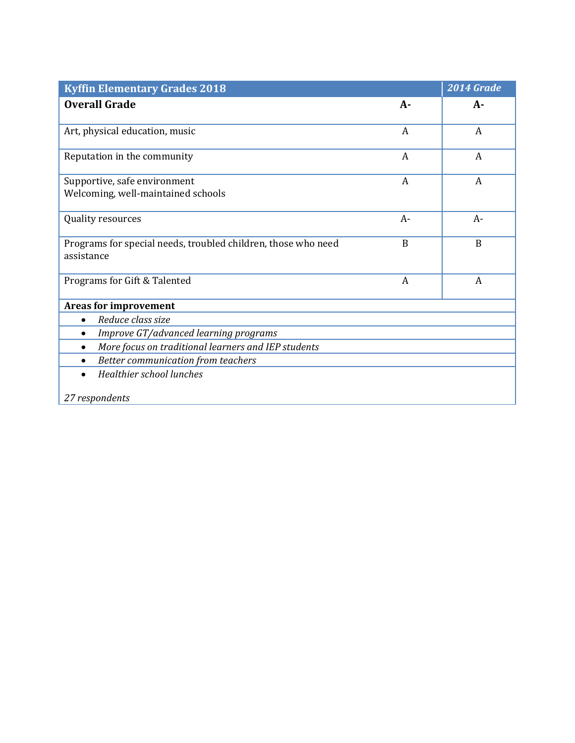| <b>Kyffin Elementary Grades 2018</b>                                        |                  | 2014 Grade |
|-----------------------------------------------------------------------------|------------------|------------|
| <b>Overall Grade</b>                                                        | $A-$             | A-         |
| Art, physical education, music                                              | $\boldsymbol{A}$ | A          |
| Reputation in the community                                                 | A                | A          |
| Supportive, safe environment<br>Welcoming, well-maintained schools          | A                | A          |
| Quality resources                                                           | $A-$             | $A-$       |
| Programs for special needs, troubled children, those who need<br>assistance | B                | B          |
| Programs for Gift & Talented                                                | A                | A          |
| <b>Areas for improvement</b>                                                |                  |            |
| Reduce class size<br>$\bullet$                                              |                  |            |
| Improve GT/advanced learning programs<br>$\bullet$                          |                  |            |
| More focus on traditional learners and IEP students<br>$\bullet$            |                  |            |
| Better communication from teachers                                          |                  |            |
| Healthier school lunches                                                    |                  |            |
| 27 respondents                                                              |                  |            |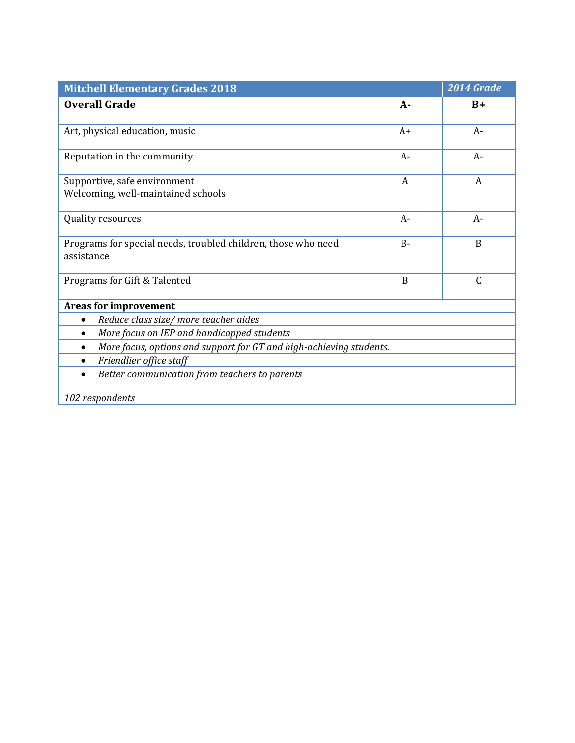| <b>Mitchell Elementary Grades 2018</b>                                           |       | $\overline{20}$ 14 Grade |
|----------------------------------------------------------------------------------|-------|--------------------------|
| <b>Overall Grade</b>                                                             | $A-$  | $B+$                     |
|                                                                                  |       |                          |
| Art, physical education, music                                                   | $A+$  | $A-$                     |
| Reputation in the community                                                      | $A-$  | $A-$                     |
| Supportive, safe environment                                                     | A     | A                        |
| Welcoming, well-maintained schools                                               |       |                          |
| Quality resources                                                                | $A-$  | $A-$                     |
| Programs for special needs, troubled children, those who need                    | $B -$ | B                        |
| assistance                                                                       |       |                          |
|                                                                                  |       |                          |
| Programs for Gift & Talented                                                     | B     | $\mathsf{C}$             |
| <b>Areas for improvement</b>                                                     |       |                          |
| Reduce class size/ more teacher aides<br>$\bullet$                               |       |                          |
| More focus on IEP and handicapped students<br>$\bullet$                          |       |                          |
| More focus, options and support for GT and high-achieving students.<br>$\bullet$ |       |                          |
| Friendlier office staff<br>$\bullet$                                             |       |                          |
| Better communication from teachers to parents                                    |       |                          |
| 102 respondents                                                                  |       |                          |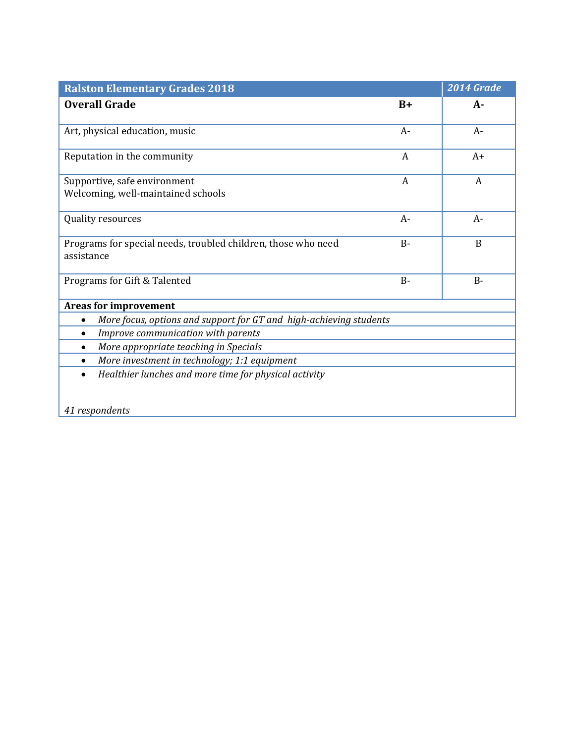| <b>Ralston Elementary Grades 2018</b>                                       |       | 2014 Grade |
|-----------------------------------------------------------------------------|-------|------------|
| <b>Overall Grade</b>                                                        | $B+$  | $A-$       |
| Art, physical education, music                                              | $A-$  | $A-$       |
| Reputation in the community                                                 | A     | $A+$       |
| Supportive, safe environment<br>Welcoming, well-maintained schools          | A     | A          |
| Quality resources                                                           | $A-$  | $A-$       |
| Programs for special needs, troubled children, those who need<br>assistance | $B -$ | B          |
| Programs for Gift & Talented                                                | $B -$ | $B -$      |
| <b>Areas for improvement</b>                                                |       |            |
| More focus, options and support for GT and high-achieving students          |       |            |
| Improve communication with parents<br>$\bullet$                             |       |            |
| More appropriate teaching in Specials                                       |       |            |
| More investment in technology; 1:1 equipment                                |       |            |
| Healthier lunches and more time for physical activity<br>$\bullet$          |       |            |
| 41 respondents                                                              |       |            |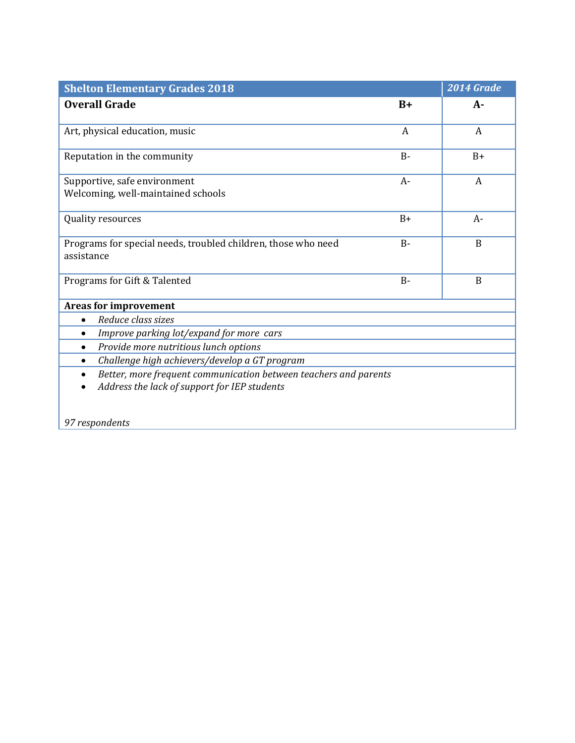| <b>Shelton Elementary Grades 2018</b>                                         |                | 2014 Grade     |
|-------------------------------------------------------------------------------|----------------|----------------|
| <b>Overall Grade</b>                                                          | $B+$           | А-             |
|                                                                               |                |                |
| Art, physical education, music                                                | $\overline{A}$ | $\overline{A}$ |
| Reputation in the community                                                   | $B -$          | $B+$           |
| Supportive, safe environment                                                  | $A-$           | A              |
| Welcoming, well-maintained schools                                            |                |                |
| Quality resources                                                             | $B+$           | $A-$           |
|                                                                               |                |                |
| Programs for special needs, troubled children, those who need                 | $B -$          | B              |
| assistance                                                                    |                |                |
| Programs for Gift & Talented                                                  | $B -$          | $\overline{B}$ |
| <b>Areas for improvement</b>                                                  |                |                |
| Reduce class sizes<br>$\bullet$                                               |                |                |
| Improve parking lot/expand for more cars<br>$\bullet$                         |                |                |
|                                                                               |                |                |
| Provide more nutritious lunch options                                         |                |                |
| Challenge high achievers/develop a GT program<br>$\bullet$                    |                |                |
| Better, more frequent communication between teachers and parents<br>$\bullet$ |                |                |
| Address the lack of support for IEP students                                  |                |                |
|                                                                               |                |                |
| 97 respondents                                                                |                |                |